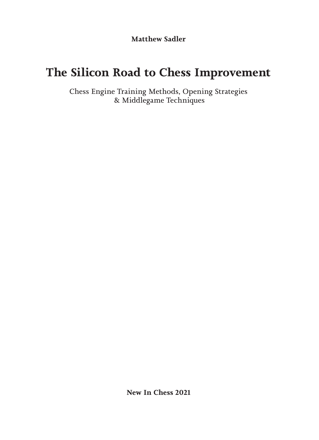**Matthew Sadler**

# **The Silicon Road to Chess Improvement**

Chess Engine Training Methods, Opening Strategies & Middlegame Techniques

**New In Chess 2021**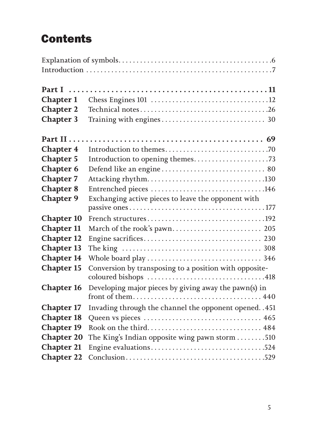# **Contents**

| <b>Chapter 1</b>  |                                                               |  |
|-------------------|---------------------------------------------------------------|--|
| <b>Chapter 2</b>  |                                                               |  |
| <b>Chapter 3</b>  |                                                               |  |
|                   |                                                               |  |
| <b>Chapter 4</b>  |                                                               |  |
| <b>Chapter 5</b>  |                                                               |  |
| <b>Chapter 6</b>  |                                                               |  |
| <b>Chapter 7</b>  |                                                               |  |
| <b>Chapter 8</b>  |                                                               |  |
| <b>Chapter 9</b>  | Exchanging active pieces to leave the opponent with           |  |
|                   |                                                               |  |
| <b>Chapter 10</b> |                                                               |  |
| <b>Chapter 11</b> |                                                               |  |
| <b>Chapter 12</b> |                                                               |  |
| <b>Chapter 13</b> |                                                               |  |
| <b>Chapter 14</b> |                                                               |  |
| <b>Chapter 15</b> | Conversion by transposing to a position with opposite-        |  |
|                   |                                                               |  |
| <b>Chapter 16</b> | Developing major pieces by giving away the pawn(s) in         |  |
|                   |                                                               |  |
| <b>Chapter 17</b> | Invading through the channel the opponent opened. . 451       |  |
| <b>Chapter 18</b> |                                                               |  |
| <b>Chapter 19</b> |                                                               |  |
| <b>Chapter 20</b> | The King's Indian opposite wing pawn storm $\dots \dots .510$ |  |
| <b>Chapter 21</b> |                                                               |  |
| <b>Chapter 22</b> |                                                               |  |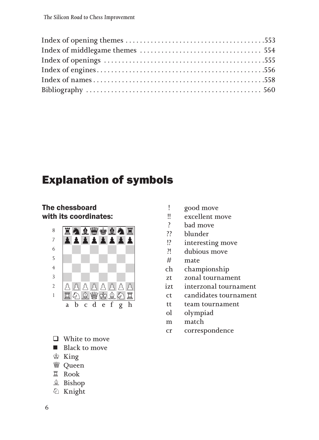# Explanation of symbols

The chessboard with its coordinates:



- $\Box$  White to move
- **N** Black to move
- ♔ King
- ♕ Queen
- ♖ Rook
- ♗ Bishop
- ♘ Knight
- ! good move
- !! excellent move
- ? bad move
- ?? blunder
- !? interesting move
- ?! dubious move
- # mate
- ch championship
- zt zonal tournament
- izt interzonal tournament
- ct candidates tournament
- tt team tournament
- ol olympiad
- m match
- cr correspondence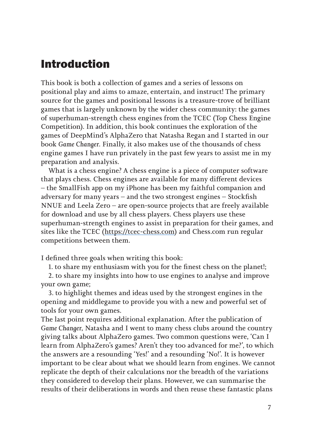# Introduction

This book is both a collection of games and a series of lessons on positional play and aims to amaze, entertain, and instruct! The primary source for the games and positional lessons is a treasure-trove of brilliant games that is largely unknown by the wider chess community: the games of superhuman-strength chess engines from the TCEC (Top Chess Engine Competition). In addition, this book continues the exploration of the games of DeepMind's AlphaZero that Natasha Regan and I started in our book *Game Changer*. Finally, it also makes use of the thousands of chess engine games I have run privately in the past few years to assist me in my preparation and analysis.

What is a chess engine? A chess engine is a piece of computer software that plays chess. Chess engines are available for many different devices – the SmallFish app on my iPhone has been my faithful companion and adversary for many years – and the two strongest engines – Stockfish NNUE and Leela Zero – are open-source projects that are freely available for download and use by all chess players. Chess players use these superhuman-strength engines to assist in preparation for their games, and sites like the TCEC (https://tcec-chess.com) and Chess.com run regular competitions between them.

I defined three goals when writing this book:

1. to share my enthusiasm with you for the finest chess on the planet!;

2. to share my insights into how to use engines to analyse and improve your own game;

3. to highlight themes and ideas used by the strongest engines in the opening and middlegame to provide you with a new and powerful set of tools for your own games.

The last point requires additional explanation. After the publication of *Game Changer*, Natasha and I went to many chess clubs around the country giving talks about AlphaZero games. Two common questions were, 'Can I learn from AlphaZero's games? Aren't they too advanced for me?', to which the answers are a resounding 'Yes!' and a resounding 'No!'. It is however important to be clear about what we should learn from engines. We cannot replicate the depth of their calculations nor the breadth of the variations they considered to develop their plans. However, we can summarise the results of their deliberations in words and then reuse these fantastic plans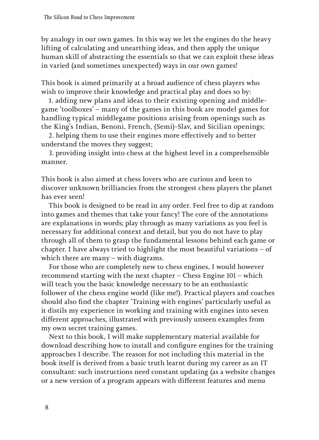by analogy in our own games. In this way we let the engines do the heavy lifting of calculating and unearthing ideas, and then apply the unique human skill of abstracting the essentials so that we can exploit these ideas in varied (and sometimes unexpected) ways in our own games!

This book is aimed primarily at a broad audience of chess players who wish to improve their knowledge and practical play and does so by:

1. adding new plans and ideas to their existing opening and middlegame 'toolboxes' – many of the games in this book are model games for handling typical middlegame positions arising from openings such as the King's Indian, Benoni, French, (Semi)-Slav, and Sicilian openings;

2. helping them to use their engines more effectively and to better understand the moves they suggest;

3. providing insight into chess at the highest level in a comprehensible manner.

This book is also aimed at chess lovers who are curious and keen to discover unknown brilliancies from the strongest chess players the planet has ever seen!

This book is designed to be read in any order. Feel free to dip at random into games and themes that take your fancy! The core of the annotations are explanations in words; play through as many variations as you feel is necessary for additional context and detail, but you do not have to play through all of them to grasp the fundamental lessons behind each game or chapter. I have always tried to highlight the most beautiful variations – of which there are many – with diagrams.

For those who are completely new to chess engines, I would however recommend starting with the next chapter – Chess Engine 101 – which will teach you the basic knowledge necessary to be an enthusiastic follower of the chess engine world (like me!). Practical players and coaches should also find the chapter 'Training with engines' particularly useful as it distils my experience in working and training with engines into seven different approaches, illustrated with previously unseen examples from my own secret training games.

Next to this book, I will make supplementary material available for download describing how to install and configure engines for the training approaches I describe. The reason for not including this material in the book itself is derived from a basic truth learnt during my career as an IT consultant: such instructions need constant updating (as a website changes or a new version of a program appears with different features and menu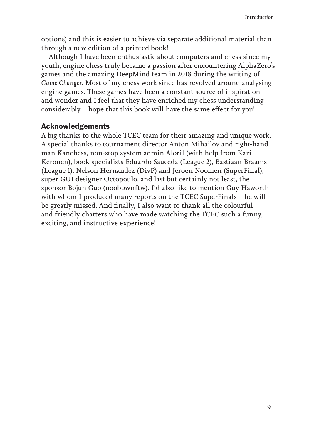options) and this is easier to achieve via separate additional material than through a new edition of a printed book!

Although I have been enthusiastic about computers and chess since my youth, engine chess truly became a passion after encountering AlphaZero's games and the amazing DeepMind team in 2018 during the writing of *Game Changer*. Most of my chess work since has revolved around analysing engine games. These games have been a constant source of inspiration and wonder and I feel that they have enriched my chess understanding considerably. I hope that this book will have the same effect for you!

#### Acknowledgements

A big thanks to the whole TCEC team for their amazing and unique work. A special thanks to tournament director Anton Mihailov and right-hand man Kanchess, non-stop system admin Aloril (with help from Kari Keronen), book specialists Eduardo Sauceda (League 2), Bastiaan Braams (League 1), Nelson Hernandez (DivP) and Jeroen Noomen (SuperFinal), super GUI designer Octopoulo, and last but certainly not least, the sponsor Bojun Guo (noobpwnftw). I'd also like to mention Guy Haworth with whom I produced many reports on the TCEC SuperFinals – he will be greatly missed. And finally, I also want to thank all the colourful and friendly chatters who have made watching the TCEC such a funny, exciting, and instructive experience!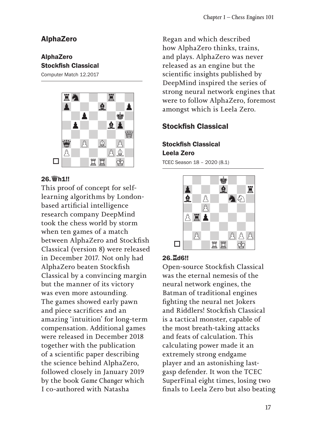#### AlphaZero

#### AlphaZero Stockfish Classical

Computer Match 12.2017



#### 26.♕h1!!

This proof of concept for selflearning algorithms by Londonbased artificial intelligence research company DeepMind took the chess world by storm when ten games of a match between AlphaZero and Stockfish Classical (version 8) were released in December 2017. Not only had AlphaZero beaten Stockfish Classical by a convincing margin but the manner of its victory was even more astounding. The games showed early pawn and piece sacrifices and an amazing 'intuition' for long-term compensation. Additional games were released in December 2018 together with the publication of a scientific paper describing the science behind AlphaZero, followed closely in January 2019 by the book *Game Changer* which I co-authored with Natasha

Regan and which described how AlphaZero thinks, trains, and plays. AlphaZero was never released as an engine but the scientific insights published by DeepMind inspired the series of strong neural network engines that were to follow AlphaZero, foremost amongst which is Leela Zero.

### Stockfish Classical

Stockfish Classical Leela Zero TCEC Season 18 – 2020 (8.1)



#### 26.♖d6!!

Open-source Stockfish Classical was the eternal nemesis of the neural network engines, the Batman of traditional engines fighting the neural net Jokers and Riddlers! Stockfish Classical is a tactical monster, capable of the most breath-taking attacks and feats of calculation. This calculating power made it an extremely strong endgame player and an astonishing lastgasp defender. It won the TCEC SuperFinal eight times, losing two finals to Leela Zero but also beating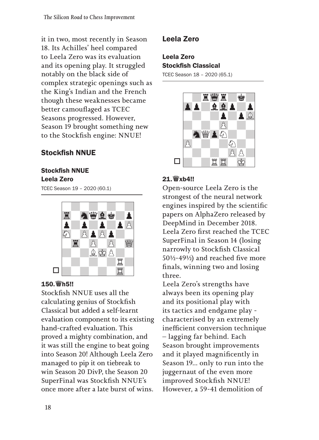it in two, most recently in Season 18. Its Achilles' heel compared to Leela Zero was its evaluation and its opening play. It struggled notably on the black side of complex strategic openings such as the King's Indian and the French though these weaknesses became better camouflaged as TCEC Seasons progressed. However, Season 19 brought something new to the Stockfish engine: NNUE!

### Stockfish NNUE

### Stockfish NNUE

#### Leela Zero

TCEC Season 19 – 2020 (60.1)



#### 150.♕h5!!

Stockfish NNUE uses all the calculating genius of Stockfish Classical but added a self-learnt evaluation component to its existing hand-crafted evaluation. This proved a mighty combination, and it was still the engine to beat going into Season 20! Although Leela Zero managed to pip it on tiebreak to win Season 20 DivP, the Season 20 SuperFinal was Stockfish NNUE's once more after a late burst of wins.

### Leela Zero

### Leela Zero Stockfish Classical

TCEC Season 18 – 2020 (65.1)



### 21.♕xb4!!

Open-source Leela Zero is the strongest of the neural network engines inspired by the scientific papers on AlphaZero released by DeepMind in December 2018. Leela Zero first reached the TCEC SuperFinal in Season 14 (losing narrowly to Stockfish Classical 50½-49½) and reached five more finals, winning two and losing three.

Leela Zero's strengths have always been its opening play and its positional play with its tactics and endgame play characterised by an extremely inefficient conversion technique – lagging far behind. Each Season brought improvements and it played magnificently in Season 19... only to run into the juggernaut of the even more improved Stockfish NNUE! However, a 59-41 demolition of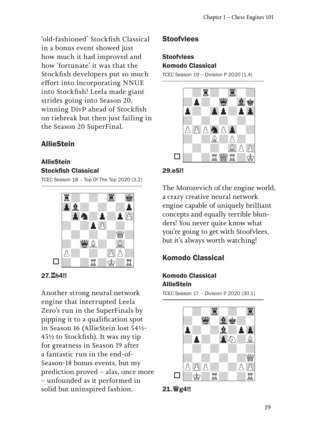'old-fashioned' Stockfish Classical in a bonus event showed just how much it had improved and how 'fortunate' it was that the Stockfish developers put so much effort into incorporating NNUE into Stockfish! Leela made giant strides going into Season 20, winning DivP ahead of Stockfish on tiebreak but then just failing in the Season 20 SuperFinal.

### **AllieStein**

#### **AllieStein** Stockfish Classical

TCEC Season 18 – Top Of The Top 2020 (3.2)



#### 27.♖h4!!

Another strong neural network engine that interrupted Leela Zero's run in the SuperFinals by pipping it to a qualification spot in Season 16 (AllieStein lost 54½- 45½ to Stockfish). It was my tip for greatness in Season 19 after a fantastic run in the end-of-Season-18 bonus events, but my prediction proved – alas, once more – unfounded as it performed in solid but uninspired fashion.

#### **Stoofvlees**

#### **Stoofvlees** Komodo Classical

TCEC Season 19 – Division P 2020 (1.4)



#### 29.e5!!

The Morozevich of the engine world, a crazy creative neural network engine capable of uniquely brilliant concepts and equally terrible blunders! You never quite know what you're going to get with Stoofvlees, but it's always worth watching!

### Komodo Classical

#### Komodo Classical **AllieStein**

TCEC Season 17 – Division P 2020 (30.1)



21.♕g4!!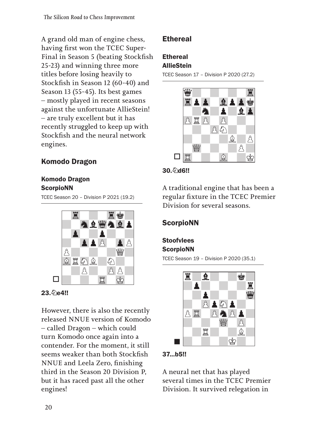A grand old man of engine chess, having first won the TCEC Super-Final in Season 5 (beating Stockfish 25-23) and winning three more titles before losing heavily to Stockfish in Season 12 (60-40) and Season 13 (55-45). Its best games – mostly played in recent seasons against the unfortunate AllieStein! – are truly excellent but it has recently struggled to keep up with Stockfish and the neural network engines.

# Komodo Dragon

#### Komodo Dragon **ScorpioNN**

TCEC Season 20 – Division P 2021 (19.2)



### 23. De4!!

However, there is also the recently released NNUE version of Komodo – called Dragon – which could turn Komodo once again into a contender. For the moment, it still seems weaker than both Stockfish NNUE and Leela Zero, finishing third in the Season 20 Division P, but it has raced past all the other engines!

### **Ethereal**

# **Ethereal**

## **AllieStein**

TCEC Season 17 – Division P 2020 (27.2)



#### 30. hd6!!

A traditional engine that has been a regular fixture in the TCEC Premier Division for several seasons.

## **ScorpioNN**

### **Stoofvlees ScorpioNN**

TCEC Season 19 – Division P 2020 (35.1)



#### 37...b5!!

A neural net that has played several times in the TCEC Premier Division. It survived relegation in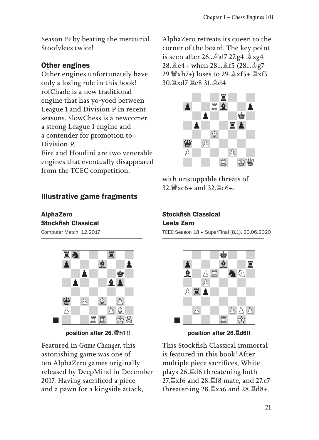Season 19 by beating the mercurial Stoofvlees twice!

### Other engines

Other engines unfortunately have only a losing role in this book! rofChade is a new traditional engine that has yo-yoed between League 1 and Division P in recent seasons. SlowChess is a newcomer, a strong League 1 engine and a contender for promotion to Division P.

Fire and Houdini are two venerable engines that eventually disappeared from the TCEC competition.

### Illustrative game fragments

#### AlphaZero Stockfish Classical

Computer Match, 12.2017



**position after 26.♕h1!!**

Featured in *Game Changer*, this astonishing game was one of ten AlphaZero games originally released by DeepMind in December 2017. Having sacrificed a piece and a pawn for a kingside attack,

AlphaZero retreats its queen to the corner of the board. The key point is seen after 26...♘d7 27.g4 ♗xg4 28.♗e4+ when 28...♗f5 (28...♔g7 29.♕xh7+) loses to 29.♗xf5+ ♖xf5 30.♖xd7 ♖e8 31.♗d4



with unstoppable threats of 32.♕xc6+ and 32.♖e6+.

### Stockfish Classical Leela Zero

TCEC Season 18 – SuperFinal (8.1), 20.06.2020



**position after 26.♖d6!!**

This Stockfish Classical immortal is featured in this book! After multiple piece sacrifices, White plays 26.♖d6 threatening both 27.♖xf6 and 28.♖f8 mate, and 27.c7 threatening 28.♖xa6 and 28.♖d8+.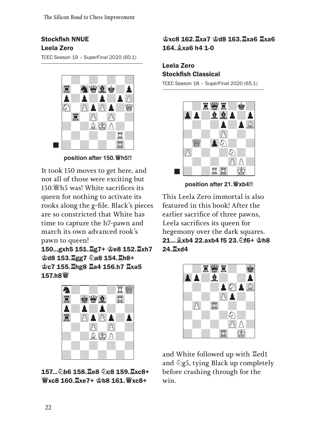### Stockfish NNUE Leela Zero

TCEC Season 19 – SuperFinal 2020 (60.1)



**position after 150.♕h5!!**

It took 150 moves to get here, and not all of those were exciting but 150.♕h5 was! White sacrifices its queen for nothing to activate its rooks along the g-file. Black's pieces are so constricted that White has time to capture the h7-pawn and march its own advanced rook's pawn to queen!

150...gxh5 151.♖g7+ ♔e8 152.♖xh7 ♔d8 153.♖gg7 ♘a8 154.♖h8+ ♔c7 155.♖hg8 ♖a4 156.h7 ♖xa5 157.h8♕



157...♘b6 158.♖e8 ♘c8 159.♖xc8+ ♕xc8 160.♖xe7+ ♔b8 161.♕xc8+

### ♔xc8 162.♖xa7 ♔d8 163.♖xa6 ♖xa6 164.♗xa6 h4 1-0

### Leela Zero Stockfish Classical

TCEC Season 18 – SuperFinal 2020 (65.1)



**position after 21.♕xb4!!**

This Leela Zero immortal is also featured in this book! After the earlier sacrifice of three pawns, Leela sacrifices its queen for hegemony over the dark squares. 21...♗xb4 22.axb4 f5 23.♘f6+ ♔h8 24.♖xd4



and White followed up with ♖ed1 and  $\Diamond$ g5, tying Black up completely before crashing through for the win.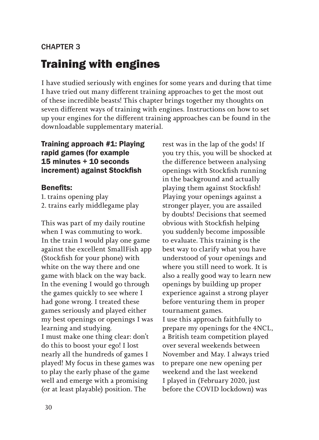### CHAPTER 3

# Training with engines

I have studied seriously with engines for some years and during that time I have tried out many different training approaches to get the most out of these incredible beasts! This chapter brings together my thoughts on seven different ways of training with engines. Instructions on how to set up your engines for the different training approaches can be found in the downloadable supplementary material.

#### Training approach #1: Playing rapid games (for example 15 minutes + 10 seconds increment) against Stockfish

#### Benefits:

1. trains opening play 2. trains early middlegame play

This was part of my daily routine when I was commuting to work. In the train I would play one game against the excellent SmallFish app (Stockfish for your phone) with white on the way there and one game with black on the way back. In the evening I would go through the games quickly to see where I had gone wrong. I treated these games seriously and played either my best openings or openings I was learning and studying. I must make one thing clear: don't do this to boost your ego! I lost nearly all the hundreds of games I played! My focus in these games was to play the early phase of the game well and emerge with a promising (or at least playable) position. The

rest was in the lap of the gods! If you try this, you will be shocked at the difference between analysing openings with Stockfish running in the background and actually playing them against Stockfish! Playing your openings against a stronger player, you are assailed by doubts! Decisions that seemed obvious with Stockfish helping you suddenly become impossible to evaluate. This training is the best way to clarify what you have understood of your openings and where you still need to work. It is also a really good way to learn new openings by building up proper experience against a strong player before venturing them in proper tournament games. I use this approach faithfully to prepare my openings for the 4NCL, a British team competition played over several weekends between November and May. I always tried to prepare one new opening per weekend and the last weekend I played in (February 2020, just before the COVID lockdown) was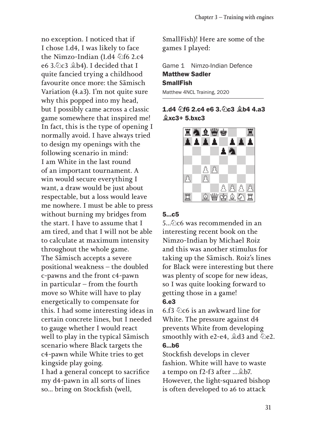no exception. I noticed that if I chose 1.d4, I was likely to face the Nimzo-Indian (1.d4 ♘f6 2.c4 e6 3.♘c3 ♗b4). I decided that I quite fancied trying a childhood favourite once more: the Sämisch Variation (4.a3). I'm not quite sure why this popped into my head, but I possibly came across a classic game somewhere that inspired me! In fact, this is the type of opening I normally avoid. I have always tried to design my openings with the following scenario in mind: I am White in the last round of an important tournament. A win would secure everything I want, a draw would be just about respectable, but a loss would leave me nowhere. I must be able to press without burning my bridges from the start. I have to assume that I am tired, and that I will not be able to calculate at maximum intensity throughout the whole game. The Sämisch accepts a severe positional weakness – the doubled c-pawns and the front c4-pawn in particular – from the fourth move so White will have to play energetically to compensate for this. I had some interesting ideas in certain concrete lines, but I needed to gauge whether I would react well to play in the typical Sämisch scenario where Black targets the c4-pawn while White tries to get kingside play going. I had a general concept to sacrifice

my d4-pawn in all sorts of lines so... bring on Stockfish (well,

SmallFish)! Here are some of the games I played:

Game 1 Nimzo-Indian Defence Matthew Sadler SmallFish Matthew 4NCL Training, 2020

#### 1.d4 h6 2.c4 e6 3. hc3 \$b4 4.a3  $&xc3+5.bxc3$



#### 5...c5

5.  $\Diamond$ c6 was recommended in an interesting recent book on the Nimzo-Indian by Michael Roiz and this was another stimulus for taking up the Sämisch. Roiz's lines for Black were interesting but there was plenty of scope for new ideas, so I was quite looking forward to getting those in a game! 6.e3

6.f3 ♘c6 is an awkward line for White. The pressure against d4 prevents White from developing smoothly with e2-e4,  $\triangleq$ d3 and  $\triangleq$ e2. 6...b6

Stockfish develops in clever fashion. White will have to waste a tempo on f2-f3 after ...♗b7. However, the light-squared bishop is often developed to a6 to attack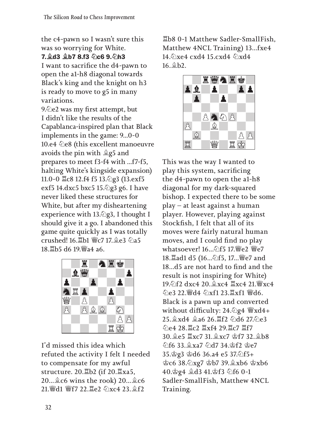the c4-pawn so I wasn't sure this was so worrying for White. 7.♗d3 ♗b7 8.f3 ♘c6 9.♘h3

I want to sacrifice the d4-pawn to open the a1-h8 diagonal towards Black's king and the knight on h3 is ready to move to g5 in many variations.

9. $\Diamond$ e2 was my first attempt, but I didn't like the results of the Capablanca-inspired plan that Black implements in the game: 9...0-0 10.e4 ♘e8 (this excellent manoeuvre avoids the pin with ♗g5 and prepares to meet f3-f4 with ...f7-f5, halting White's kingside expansion) 11.0-0 ♖c8 12.f4 f5 13.♘g3 (13.exf5 exf5 14.dxc5 bxc5 15.♘g3 g6. I have never liked these structures for White, but after my disheartening experience with  $13.\&$ g3, I thought I should give it a go. I abandoned this game quite quickly as I was totally crushed! 16.♖b1 ♕c7 17.♗e3 ♘a5 18.♖b5 d6 19.♕a4 a6.



I'd missed this idea which refuted the activity I felt I needed to compensate for my awful structure. 20.♖b2 (if 20.♖xa5, 20...♗c6 wins the rook) 20...♗c6 21. Wid1 Wf7 22. Le2 のxc4 23. @f2.

♖b8 0-1 Matthew Sadler-SmallFish, Matthew 4NCL Training) 13...fxe4 14. Oxe4 cxd4 15. cxd4 2xd4 16.♗b2.



This was the way I wanted to play this system, sacrificing the d4-pawn to open the a1-h8 diagonal for my dark-squared bishop. I expected there to be some play – at least against a human player. However, playing against Stockfish, I felt that all of its moves were fairly natural human moves, and I could find no play whatsoever! 16...のf5 17. 響e2 響e7 18.♖ad1 d5 (16...♘f5, 17...♕e7 and 18...d5 are not hard to find and the result is not inspiring for White) 19.♘f2 dxc4 20.♗xc4 ♖xc4 21.♕xc4 ♘e3 22.♕d4 ♘xf1 23.♖xf1 ♕d6. Black is a pawn up and converted without difficulty: 24. 2g4 ₩xd4+ 25.♗xd4 ♗a6 26.♖f2 ♘d6 27.♘e3 ♘e4 28.♖c2 ♖xf4 29.♖c7 ♖f7 30.♗e5 ♖xc7 31.♗xc7 ♔f7 32.♗b8 ♘f6 33.♗xa7 ♘d7 34.♔f2 ♔e7 35.♔g3 ♔d6 36.a4 e5 37.♘f5+ ♔c6 38.♘xg7 ♔b7 39.♗xb6 ♔xb6 40.♔g4 ♗d3 41.♔f3 ♘f6 0-1 Sadler-SmallFish, Matthew 4NCL Training.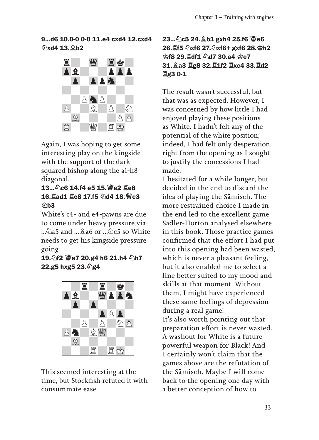9...d6 10.0-0 0-0 11.e4 cxd4 12.cxd4 ♘xd4 13.♗b2



Again, I was hoping to get some interesting play on the kingside with the support of the darksquared bishop along the a1-h8 diagonal.

### 13...♘c6 14.f4 e5 15.♕e2 ♖e8 16.♖ad1 ♖c8 17.f5 ♘d4 18.♕e3  $\Diamond$ b3

White's c4- and e4-pawns are due to come under heavy pressure via ...♘a5 and ...♗a6 or ...♘c5 so White needs to get his kingside pressure going.

### 19.♘f2 ♕e7 20.g4 h6 21.h4 ♘h7 22.g5 hxg5 23.♘g4



This seemed interesting at the time, but Stockfish refuted it with consummate ease.

### 23...♘c5 24.♗b1 gxh4 25.f6 ♕e6 26.♖f5 ♘xf6 27.♘xf6+ gxf6 28.♔h2 ♔f8 29.♖df1 ♘d7 30.a4 ♔e7 31.♗a3 ♖g8 32.♖1f2 ♖xc4 33.♖d2 ♖g3 0-1

The result wasn't successful, but that was as expected. However, I was concerned by how little I had enjoyed playing these positions as White. I hadn't felt any of the potential of the white position; indeed, I had felt only desperation right from the opening as I sought to justify the concessions I had made.

I hesitated for a while longer, but decided in the end to discard the idea of playing the Sämisch. The more restrained choice I made in the end led to the excellent game Sadler-Horton analysed elsewhere in this book. Those practice games confirmed that the effort I had put into this opening had been wasted, which is never a pleasant feeling, but it also enabled me to select a line better suited to my mood and skills at that moment. Without them, I might have experienced these same feelings of depression during a real game! It's also worth pointing out that preparation effort is never wasted. A washout for White is a future powerful weapon for Black! And I certainly won't claim that the games above are the refutation of the Sämisch. Maybe I will come back to the opening one day with a better conception of how to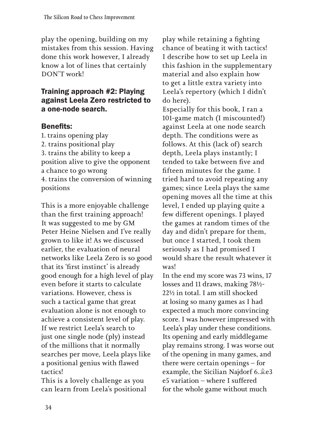play the opening, building on my mistakes from this session. Having done this work however, I already know a lot of lines that certainly DON'T work!

### Training approach #2: Playing against Leela Zero restricted to a one-node search.

### Benefits:

1. trains opening play 2. trains positional play 3. trains the ability to keep a position alive to give the opponent a chance to go wrong 4. trains the conversion of winning positions

This is a more enjoyable challenge than the first training approach! It was suggested to me by GM Peter Heine Nielsen and I've really grown to like it! As we discussed earlier, the evaluation of neural networks like Leela Zero is so good that its 'first instinct' is already good enough for a high level of play even before it starts to calculate variations. However, chess is such a tactical game that great evaluation alone is not enough to achieve a consistent level of play. If we restrict Leela's search to just one single node (ply) instead of the millions that it normally searches per move, Leela plays like a positional genius with flawed tactics!

This is a lovely challenge as you can learn from Leela's positional play while retaining a fighting chance of beating it with tactics! I describe how to set up Leela in this fashion in the supplementary material and also explain how to get a little extra variety into Leela's repertory (which I didn't do here).

Especially for this book, I ran a 101-game match (I miscounted!) against Leela at one node search depth. The conditions were as follows. At this (lack of) search depth, Leela plays instantly; I tended to take between five and fifteen minutes for the game. I tried hard to avoid repeating any games; since Leela plays the same opening moves all the time at this level, I ended up playing quite a few different openings. I played the games at random times of the day and didn't prepare for them, but once I started, I took them seriously as I had promised I would share the result whatever it was!

In the end my score was 73 wins, 17 losses and 11 draws, making 78½- 22½ in total. I am still shocked at losing so many games as I had expected a much more convincing score. I was however impressed with Leela's play under these conditions. Its opening and early middlegame play remains strong. I was worse out of the opening in many games, and there were certain openings – for example, the Sicilian Najdorf 6.♗e3 e5 variation – where I suffered for the whole game without much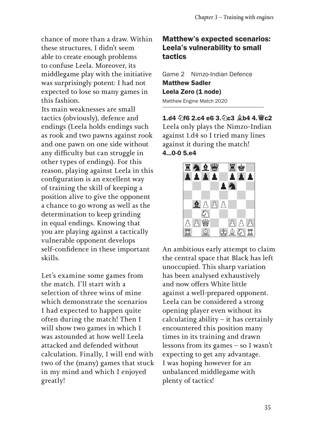chance of more than a draw. Within these structures, I didn't seem able to create enough problems to confuse Leela. Moreover, its middlegame play with the initiative was surprisingly potent: I had not expected to lose so many games in this fashion.

Its main weaknesses are small tactics (obviously), defence and endings (Leela holds endings such as rook and two pawns against rook and one pawn on one side without any difficulty but can struggle in other types of endings). For this reason, playing against Leela in this configuration is an excellent way of training the skill of keeping a position alive to give the opponent a chance to go wrong as well as the determination to keep grinding in equal endings. Knowing that you are playing against a tactically vulnerable opponent develops self-confidence in these important skills.

Let's examine some games from the match. I'll start with a selection of three wins of mine which demonstrate the scenarios I had expected to happen quite often during the match! Then I will show two games in which I was astounded at how well Leela attacked and defended without calculation. Finally, I will end with two of the (many) games that stuck in my mind and which I enjoyed greatly!

### Matthew's expected scenarios: Leela's vulnerability to small tactics

Game 2 Nimzo-Indian Defence Matthew Sadler Leela Zero (1 node) Matthew Engine Match 2020

 $1.14 \text{ } \textcircled{}16$  2.c4 e6 3. $\textcircled{}10$ c3  $\textcircled{}14$  4.  $\textcircled{}10$ c2 Leela only plays the Nimzo-Indian against 1.d4 so I tried many lines against it during the match! 4...0-0 5.e4



An ambitious early attempt to claim the central space that Black has left unoccupied. This sharp variation has been analysed exhaustively and now offers White little against a well-prepared opponent. Leela can be considered a strong opening player even without its calculating ability  $-$  it has certainly encountered this position many times in its training and drawn lessons from its games – so I wasn't expecting to get any advantage. I was hoping however for an unbalanced middlegame with plenty of tactics!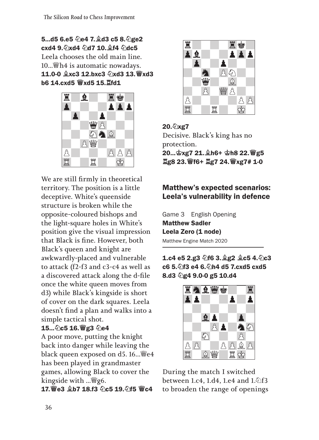5...d5 6.e5 ♘e4 7.♗d3 c5 8.♘ge2 cxd4 9. 2xd4 2d7 10. 2f4 2dc5 Leela chooses the old main line. 10...♕h4 is automatic nowadays. 11.0-0 ♗xc3 12.bxc3 ♘xd3 13.♕xd3 b6 14.cxd5 ♕xd5 15.♖fd1



We are still firmly in theoretical territory. The position is a little deceptive. White's queenside structure is broken while the opposite-coloured bishops and the light-square holes in White's position give the visual impression that Black is fine. However, both Black's queen and knight are awkwardly-placed and vulnerable to attack (f2-f3 and c3-c4 as well as a discovered attack along the d-file once the white queen moves from d3) while Black's kingside is short of cover on the dark squares. Leela doesn't find a plan and walks into a simple tactical shot.

### 15...♘c5 16.♕g3 ♘e4

A poor move, putting the knight back into danger while leaving the black queen exposed on d5. 16...♕e4 has been played in grandmaster games, allowing Black to cover the kingside with ...  $\mathscr{L}$ g6.

17.♕e3 ♗b7 18.f3 ♘c5 19.♘f5 ♕c4



20.♘xg7 Decisive. Black's king has no protection. 20...♔xg7 21.♗h6+ ♔h8 22.♕g5 ♖g8 23.♕f6+ ♖g7 24.♕xg7# 1-0

### Matthew's expected scenarios: Leela's vulnerability in defence

|                           | Game 3 English Opening |  |  |  |
|---------------------------|------------------------|--|--|--|
| <b>Matthew Sadler</b>     |                        |  |  |  |
| Leela Zero (1 node)       |                        |  |  |  |
| Matthew Engine Match 2020 |                        |  |  |  |

1.c4 e5 2.g3 ♘f6 3.♗g2 ♗c5 4.♘c3 c6 5.♘f3 e4 6.♘h4 d5 7.cxd5 cxd5 8.d3 2g4 9.0-0 g5 10.d4



During the match I switched between 1.c4, 1.d4, 1.e4 and 1.♘f3 to broaden the range of openings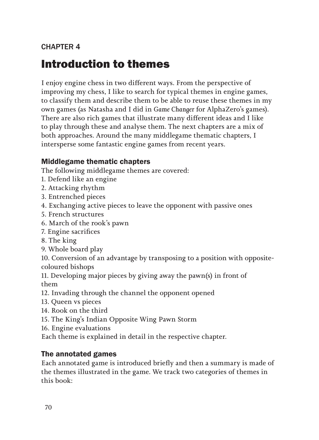### CHAPTER 4

# Introduction to themes

I enjoy engine chess in two different ways. From the perspective of improving my chess, I like to search for typical themes in engine games, to classify them and describe them to be able to reuse these themes in my own games (as Natasha and I did in *Game Changer* for AlphaZero's games). There are also rich games that illustrate many different ideas and I like to play through these and analyse them. The next chapters are a mix of both approaches. Around the many middlegame thematic chapters, I intersperse some fantastic engine games from recent years.

### Middlegame thematic chapters

The following middlegame themes are covered:

- 1. Defend like an engine
- 2. Attacking rhythm
- 3. Entrenched pieces
- 4. Exchanging active pieces to leave the opponent with passive ones
- 5. French structures
- 6. March of the rook's pawn
- 7. Engine sacrifices
- 8. The king
- 9. Whole board play

10. Conversion of an advantage by transposing to a position with oppositecoloured bishops

11. Developing major pieces by giving away the pawn(s) in front of them

- 12. Invading through the channel the opponent opened
- 13. Queen vs pieces
- 14. Rook on the third
- 15. The King's Indian Opposite Wing Pawn Storm
- 16. Engine evaluations

Each theme is explained in detail in the respective chapter.

### The annotated games

Each annotated game is introduced briefly and then a summary is made of the themes illustrated in the game. We track two categories of themes in this book: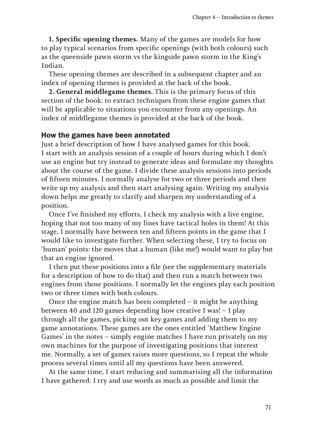**1. Specific opening themes.** Many of the games are models for how to play typical scenarios from specific openings (with both colours) such as the queenside pawn storm vs the kingside pawn storm in the King's Indian.

These opening themes are described in a subsequent chapter and an index of opening themes is provided at the back of the book.

**2. General middlegame themes.** This is the primary focus of this section of the book: to extract techniques from these engine games that will be applicable to situations you encounter from any openings. An index of middlegame themes is provided at the back of the book.

#### How the games have been annotated

Just a brief description of how I have analysed games for this book. I start with an analysis session of a couple of hours during which I don't use an engine but try instead to generate ideas and formulate my thoughts about the course of the game. I divide these analysis sessions into periods of fifteen minutes. I normally analyse for two or three periods and then write up my analysis and then start analysing again. Writing my analysis down helps me greatly to clarify and sharpen my understanding of a position.

Once I've finished my efforts, I check my analysis with a live engine, hoping that not too many of my lines have tactical holes in them! At this stage, I normally have between ten and fifteen points in the game that I would like to investigate further. When selecting these, I try to focus on 'human' points: the moves that a human (like me!) would want to play but that an engine ignored.

I then put these positions into a file (see the supplementary materials for a description of how to do that) and then run a match between two engines from those positions. I normally let the engines play each position two or three times with both colours.

Once the engine match has been completed – it might be anything between 40 and 120 games depending how creative I was! – I play through all the games, picking out key games and adding them to my game annotations. These games are the ones entitled 'Matthew Engine Games' in the notes – simply engine matches I have run privately on my own machines for the purpose of investigating positions that interest me. Normally, a set of games raises more questions, so I repeat the whole process several times until all my questions have been answered.

At the same time, I start reducing and summarising all the information I have gathered. I try and use words as much as possible and limit the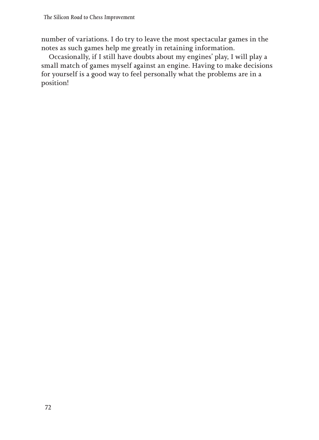number of variations. I do try to leave the most spectacular games in the notes as such games help me greatly in retaining information.

Occasionally, if I still have doubts about my engines' play, I will play a small match of games myself against an engine. Having to make decisions for yourself is a good way to feel personally what the problems are in a position!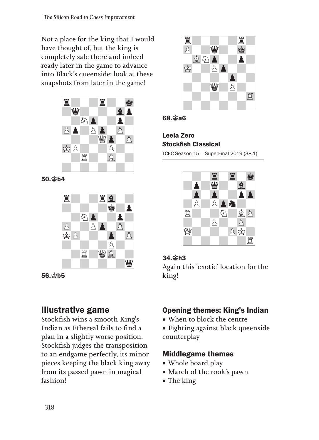Not a place for the king that I would have thought of, but the king is completely safe there and indeed ready later in the game to advance into Black's queenside: look at these snapshots from later in the game!



50.♔b4



56.♔b5

# Illustrative game

Stockfish wins a smooth King's Indian as Ethereal fails to find a plan in a slightly worse position. Stockfish judges the transposition to an endgame perfectly, its minor pieces keeping the black king away from its passed pawn in magical fashion!





### Leela Zero Stockfish Classical

TCEC Season 15 – SuperFinal 2019 (38.1)



### 34.♔h3

Again this 'exotic' location for the king!

# Opening themes: King's Indian

• When to block the centre

• Fighting against black queenside counterplay

# Middlegame themes

- Whole board play
- • March of the rook's pawn
- The king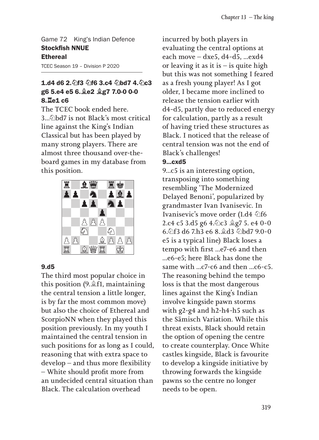Game 72 King's Indian Defence Stockfish NNUE **Ethereal** 

TCEC Season 19 – Division P 2020

### 1.d4 d6 2. 行3 分f6 3.c4 公bd7 4. 公c3 g6 5.e4 e5 6.♗e2 ♗g7 7.0-0 0-0 8.♖e1 c6

The TCEC book ended here. 3...♘bd7 is not Black's most critical line against the King's Indian Classical but has been played by many strong players. There are almost three thousand over-theboard games in my database from this position.



#### 9.d5

The third most popular choice in this position (9.♗f1, maintaining the central tension a little longer, is by far the most common move) but also the choice of Ethereal and ScorpioNN when they played this position previously. In my youth I maintained the central tension in such positions for as long as I could, reasoning that with extra space to develop – and thus more flexibility – White should profit more from an undecided central situation than Black. The calculation overhead

incurred by both players in evaluating the central options at each move – dxe5, d4-d5, ...exd4 or leaving it as it is  $-$  is quite high but this was not something I feared as a fresh young player! As I got older, I became more inclined to release the tension earlier with d4-d5, partly due to reduced energy for calculation, partly as a result of having tried these structures as Black. I noticed that the release of central tension was not the end of Black's challenges!

#### 9...cxd5

9...c5 is an interesting option, transposing into something resembling 'The Modernized Delayed Benoni', popularized by grandmaster Ivan Ivanisevic. In Ivanisevic's move order (1.d4 <del>公f6</del> 2.c4 c5 3.d5 g6 4.♘c3 ♗g7 5. e4 0-0 6.♘f3 d6 7.h3 e6 8.♗d3 ♘bd7 9.0-0 e5 is a typical line) Black loses a tempo with first ...e7-e6 and then ...e6-e5; here Black has done the same with ...c7-c6 and then ...c6-c5. The reasoning behind the tempo loss is that the most dangerous lines against the King's Indian involve kingside pawn storms with g2-g4 and h2-h4-h5 such as the Sämisch Variation. While this threat exists, Black should retain the option of opening the centre to create counterplay. Once White castles kingside, Black is favourite to develop a kingside initiative by throwing forwards the kingside pawns so the centre no longer needs to be open.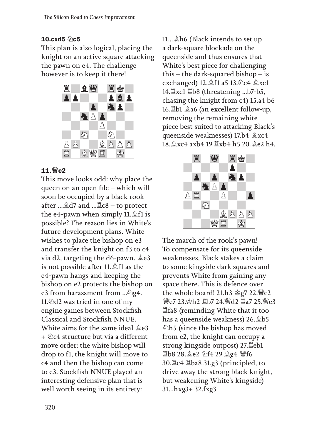### 10.cxd5  $\Diamond$ c5

This plan is also logical, placing the knight on an active square attacking the pawn on e4. The challenge however is to keep it there!



### 11.♕c2

This move looks odd: why place the queen on an open file – which will soon be occupied by a black rook after ...♗d7 and ...♖c8 – to protect the e4-pawn when simply 11.♗f1 is possible? The reason lies in White's future development plans. White wishes to place the bishop on e3 and transfer the knight on f3 to c4 via d2, targeting the d6-pawn. ♗e3 is not possible after 11.♗f1 as the e4-pawn hangs and keeping the bishop on e2 protects the bishop on e3 from harassment from ... $\&$ g4. 11. $\triangle$ d2 was tried in one of my engine games between Stockfish Classical and Stockfish NNUE. White aims for the same ideal ♗e3 + ♘c4 structure but via a different move order: the white bishop will drop to f1, the knight will move to c4 and then the bishop can come to e3. Stockfish NNUE played an interesting defensive plan that is well worth seeing in its entirety:

11...♗h6 (Black intends to set up a dark-square blockade on the queenside and thus ensures that White's best piece for challenging this – the dark-squared bishop – is exchanged) 12.♗f1 a5 13.♘c4 ♗xc1 14.♖xc1 ♖b8 (threatening ...b7-b5, chasing the knight from c4) 15.a4 b6 16.♖b1 ♗a6 (an excellent follow-up, removing the remaining white piece best suited to attacking Black's queenside weaknesses) 17.b4 ♗xc4 18.♗xc4 axb4 19.♖xb4 h5 20.♗e2 h4.



The march of the rook's pawn! To compensate for its queenside weaknesses, Black stakes a claim to some kingside dark squares and prevents White from gaining any space there. This is defence over the whole board! 21.h3 ♔g7 22.♕c2 ♕e7 23.♔h2 ♖b7 24.♕d2 ♖a7 25.♕e3 ♖fa8 (reminding White that it too has a queenside weakness) 26.♗b5 ♘h5 (since the bishop has moved from e2, the knight can occupy a strong kingside outpost) 27.♖eb1 ♖b8 28.♗e2 ♘f4 29.♗g4 ♕f6 30.♖c4 ♖ba8 31.g3 (principled, to drive away the strong black knight, but weakening White's kingside) 31...hxg3+ 32.fxg3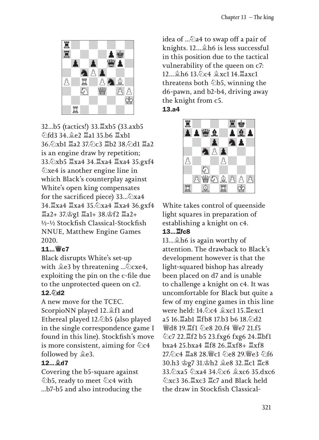

32...b5 (tactics!) 33.♖xb5 (33.axb5 ♘fd3 34.♗e2 ♖a1 35.b6 ♖xb1 36.♘xb1 ♖a2 37.♘c3 ♖b2 38.♘d1 ♖a2 is an engine draw by repetition; 33.♘xb5 ♖xa4 34.♖xa4 ♖xa4 35.gxf4 ♘xe4 is another engine line in which Black's counterplay against White's open king compensates for the sacrificed piece) 33... $\&$ xa4 34.♖xa4 ♖xa4 35.♘xa4 ♖xa4 36.gxf4 ♖a2+ 37.♔g1 ♖a1+ 38.♔f2 ♖a2+ ½-½ Stockfish Classical-Stockfish NNUE, Matthew Engine Games 2020.

#### 11...♕c7

Black disrupts White's set-up with  $\triangleq$ e3 by threatening ... $\triangle$ cxe4, exploiting the pin on the c-file due to the unprotected queen on c2. 12. 2d2

A new move for the TCEC. ScorpioNN played 12.♗f1 and Ethereal played 12.♘b5 (also played in the single correspondence game I found in this line). Stockfish's move is more consistent, aiming for  $\&c4$ followed by ♗e3.

#### 12...♗d7

Covering the b5-square against ♘b5, ready to meet ♘c4 with ...b7-b5 and also introducing the idea of ....©a4 to swap off a pair of knights. 12...♗h6 is less successful in this position due to the tactical vulnerability of the queen on c7: 12...♗h6 13.♘c4 ♗xc1 14.♖axc1 threatens both **♦b5**, winning the d6-pawn, and b2-b4, driving away the knight from c5. 13.a4



White takes control of queenside light squares in preparation of establishing a knight on c4.

#### 13...♖fc8

13...♗h6 is again worthy of attention. The drawback to Black's development however is that the light-squared bishop has already been placed on d7 and is unable to challenge a knight on c4. It was uncomfortable for Black but quite a few of my engine games in this line were held: 14.♘c4 ♗xc1 15.♖exc1 a5 16.♖ab1 ♖fb8 17.b3 b6 18.♘d2 **響d8 19. 耳f1 のe8 20.f4 響e7 21.f5** ♘c7 22.♖f2 b5 23.fxg6 fxg6 24.♖bf1 bxa4 25.bxa4 ♖f8 26.♖xf8+ ♖xf8 27. 个c4 耳a8 28. 彎c1 个e8 29. 彎e3 个f6 30.h3 ♔g7 31.♔h2 ♗e8 32.♖c1 ♖c8 33.♘xa5 ♘xa4 34.♘c6 ♗xc6 35.dxc6 ♘xc3 36.♖xc3 ♖c7 and Black held the draw in Stockfish Classical-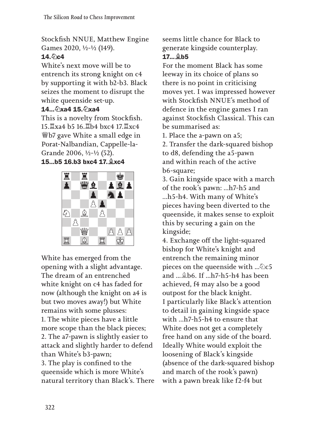Stockfish NNUE, Matthew Engine Games 2020, ½-½ (149).  $14.$  0c4

White's next move will be to entrench its strong knight on c4 by supporting it with b2-b3. Black seizes the moment to disrupt the white queenside set-up.

### 14...⊘๊xa4 15.⊘๊xa4

This is a novelty from Stockfish. 15.♖xa4 b5 16.♖b4 bxc4 17.♖xc4 ♕b7 gave White a small edge in Porat-Nalbandian, Cappelle-la-Grande 2006, ½-½ (52).

#### 15...b5 16.b3 bxc4 17.♗xc4



White has emerged from the opening with a slight advantage. The dream of an entrenched white knight on c4 has faded for now (although the knight on a4 is but two moves away!) but White remains with some plusses: 1. The white pieces have a little more scope than the black pieces; 2. The a7-pawn is slightly easier to attack and slightly harder to defend than White's b3-pawn; 3. The play is confined to the queenside which is more White's natural territory than Black's. There seems little chance for Black to generate kingside counterplay. 17...♗b5

For the moment Black has some leeway in its choice of plans so there is no point in criticising moves yet. I was impressed however with Stockfish NNUE's method of defence in the engine games I ran against Stockfish Classical. This can be summarised as:

1. Place the a-pawn on a5;

2. Transfer the dark-squared bishop to d8, defending the a5-pawn and within reach of the active b6-square;

3. Gain kingside space with a march of the rook's pawn: ...h7-h5 and ...h5-h4. With many of White's pieces having been diverted to the queenside, it makes sense to exploit this by securing a gain on the kingside;

4. Exchange off the light-squared bishop for White's knight and entrench the remaining minor pieces on the queenside with ... $\&c5$ and ...♗b6. If ...h7-h5-h4 has been achieved, f4 may also be a good outpost for the black knight. I particularly like Black's attention to detail in gaining kingside space with ...h7-h5-h4 to ensure that White does not get a completely free hand on any side of the board. Ideally White would exploit the loosening of Black's kingside (absence of the dark-squared bishop and march of the rook's pawn) with a pawn break like f2-f4 but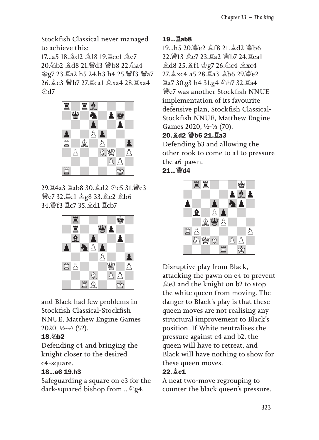Stockfish Classical never managed to achieve this:

17...a5 18.♗d2 ♗f8 19.♖ec1 ♗e7 20.♘b2 ♗d8 21.♕d3 ♕b8 22.♘a4 ♔g7 23.♖a2 h5 24.h3 h4 25.♕f3 ♕a7 26.♗e3 ♕b7 27.♖ca1 ♗xa4 28.♖xa4 ልገ<sub>47</sub>



29.♖4a3 ♖ab8 30.♗d2 ♘c5 31.♕e3 ♕e7 32.♖c1 ♔g8 33.♗e2 ♗b6 34.♕f3 ♖c7 35.♗d1 ♖cb7



and Black had few problems in Stockfish Classical-Stockfish NNUE, Matthew Engine Games 2020, ½-½ (52).

### 18. 2b2

Defending c4 and bringing the knight closer to the desired c4-square.

### 18...a6 19.h3

Safeguarding a square on e3 for the dark-squared bishop from ...♘g4.

#### 19...♖ab8

19...h5 20.♕e2 ♗f8 21.♗d2 ♕b6 22.♕f3 ♗e7 23.♖a2 ♕b7 24.♖ea1 ♗d8 25.♗f1 ♔g7 26.♘c4 ♗xc4 27.♗xc4 a5 28.♖a3 ♗b6 29.♕e2 ♖a7 30.g3 h4 31.g4 ♘h7 32.♖a4 ♕e7 was another Stockfish NNUE implementation of its favourite defensive plan, Stockfish Classical-Stockfish NNUE, Matthew Engine Games 2020, ½-½ (70). 20.♗d2 ♕b6 21.♖a3

Defending b3 and allowing the other rook to come to a1 to pressure the a6-pawn.

### 21...♕d4



Disruptive play from Black, attacking the pawn on e4 to prevent ♗e3 and the knight on b2 to stop the white queen from moving. The danger to Black's play is that these queen moves are not realising any structural improvement to Black's position. If White neutralises the pressure against e4 and b2, the queen will have to retreat, and Black will have nothing to show for these queen moves.

### 22.♗c1

A neat two-move regrouping to counter the black queen's pressure.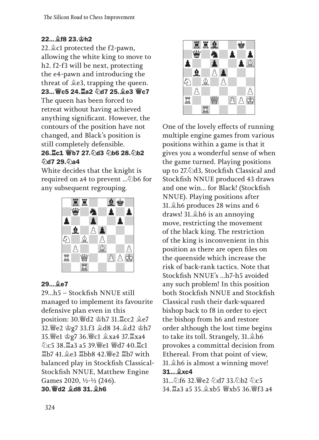### 22... **♦f8 23. \$h2**

22.♗c1 protected the f2-pawn, allowing the white king to move to h2. f2-f3 will be next, protecting the e4-pawn and introducing the threat of ♗e3, trapping the queen. 23... 曾c5 24. Ia2 公d7 25. e3 曾c7 The queen has been forced to retreat without having achieved anything significant. However, the contours of the position have not changed, and Black's position is still completely defensible.

#### 26.♖c1 ♕b7 27.♘d3 ♘b6 28.♘b2 **DRQ 29.6724**

White decides that the knight is required on a4 to prevent ...♘b6 for any subsequent regrouping.



### 29...♗e7

29...h5 – Stockfish NNUE still managed to implement its favourite defensive plan even in this position: 30.♕d2 ♔h7 31.♖cc2 ♗e7 32.♕e2 ♔g7 33.f3 ♗d8 34.♗d2 ♔h7 35.♕e1 ♔g7 36.♕c1 ♗xa4 37.♖xa4 ♘c5 38.♖a3 a5 39.♕e1 ♕d7 40.♖c1 ♖b7 41.♗e3 ♖bb8 42.♕e2 ♖b7 with balanced play in Stockfish Classical-Stockfish NNUE, Matthew Engine Games 2020, ½-½ (246). 30.♕d2 ♗d8 31.♗h6



One of the lovely effects of running multiple engine games from various positions within a game is that it gives you a wonderful sense of when the game turned. Playing positions up to 27.2d3, Stockfish Classical and Stockfish NNUE produced 43 draws and one win... for Black! (Stockfish NNUE). Playing positions after 31.♗h6 produces 28 wins and 6 draws! 31.♗h6 is an annoying move, restricting the movement of the black king. The restriction of the king is inconvenient in this position as there are open files on the queenside which increase the risk of back-rank tactics. Note that Stockfish NNUE's ...h7-h5 avoided any such problem! In this position both Stockfish NNUE and Stockfish Classical rush their dark-squared bishop back to f8 in order to eject the bishop from h6 and restore order although the lost time begins to take its toll. Strangely, 31.♗h6 provokes a committal decision from Ethereal. From that point of view, 31.♗h6 is almost a winning move! 31...♗xc4

31...♘f6 32.♕e2 ♘d7 33.♘b2 ♘c5 34.♖a3 a5 35.♗xb5 ♕xb5 36.♕f3 a4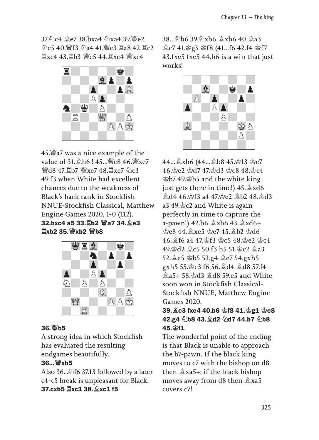$37\%c4$   $9e7\frac{38}{324}\times 4\%x$ <sub>39</sub> $\frac{10e}{2}$ ♘c5 40.♕f3 ♘a4 41.♕e3 ♖a8 42.♖c2  $\mathbb{Z}$ xc4 43. $\mathbb{Z}$ b3  $\mathbb{W}$ c5 44. $\mathbb{Z}$ xc4  $\mathbb{W}$ xc4



45.♕a7 was a nice example of the value of 31.♗h6 ! 45...♕c8 46.♕xe7 **₩d8 47 耳b7 ₩xe7 48 耳xe7 のc3** 49.f3 when White had excellent chances due to the weakness of Black's back rank in Stockfish NNUE-Stockfish Classical, Matthew Engine Games 2020, 1-0 (112). 32.bxc4 a5 33.♖b2 ♕a7 34.♗e3 ♖xb2 35.♕xb2 ♕b8



#### 36.♕b5

A strong idea in which Stockfish has evaluated the resulting endgames beautifully.

#### 36...♕xb5

Also 36... $\triangle$ f6 37.f3 followed by a later c4-c5 break is unpleasant for Black. 37.cxb5 ♖xc1 38.♗xc1 f5

 $38.6$ b6  $396$ xb6  $\frac{6}{9}$ xb6 40 $\frac{6}{9}$ a3 ♗c7 41.♔g3 ♔f8 (41...f6 42.f4 ♔f7 43.fxe5 fxe5 44.b6 is a win that just works!



44...♗xb6 (44...♗b8 45.♔f3 ♔e7 46.♔e2 ♔d7 47.♔d3 ♔c8 48.♔c4 ♔b7 49.♔b5 and the white king just gets there in time!) 45.♗xd6 ♗d4 46.♔f3 a4 47.♔e2 ♗b2 48.♔d3 a3 49.♔c2 and White is again perfectly in time to capture the a-pawn!) 42.b6 ♗xb6 43.♗xd6+ ♔e8 44.♗xe5 ♔e7 45.♗b2 ♔d6 46.♗f6 a4 47.♔f3 ♔c5 48.♔e2 ♔c4 49.♔d2 ♗c5 50.f3 h5 51.♔c2 ♗a3 52.♗e5 ♔b5 53.g4 ♗e7 54.gxh5 gxh5 55.♔c3 f6 56.♗d4 ♗d8 57.f4 ♗a5+ 58.♔d3 ♗d8 59.e5 and White soon won in Stockfish Classical-Stockfish NNUE, Matthew Engine Games 2020.

### 39.♗e3 fxe4 40.b6 ♔f8 41.♔g1 ♔e8 42.g4 公b8 43. d2 公d7 44.b7 公b8  $45.$  $\Phi$ f1

The wonderful point of the ending is that Black is unable to approach the b7-pawn. If the black king moves to c7 with the bishop on d8 then ♗xa5+; if the black bishop moves away from d8 then ♗xa5 covers c7!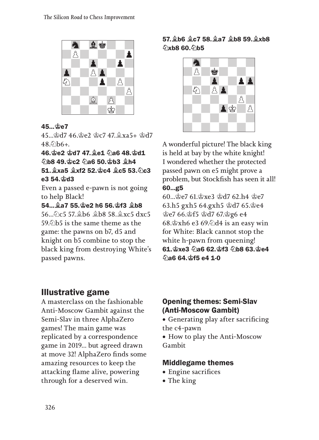

#### 45...♔e7

45...♔d7 46.♔e2 ♔c7 47.♗xa5+ ♔d7  $48.6h6+$ 

46.♔e2 ♔d7 47.♗e1 ♘a6 48.♔d1 ♘b8 49.♔c2 ♘a6 50.♔b3 ♗h4 51.  $\frac{6}{3}$ xa5  $\frac{6}{3}$ xf2 52. $\frac{6}{3}$ c4  $\frac{6}{3}$ c5 53. $\frac{6}{3}$ c3 e3 54.♔d3

Even a passed e-pawn is not going to help Black!

54...♗a7 55.♔e2 h6 56.♔f3 ♗b8 56...♘c5 57.♗b6 ♗b8 58.♗xc5 dxc5 59.のb5 is the same theme as the game: the pawns on b7, d5 and knight on b5 combine to stop the black king from destroying White's passed pawns.

### 57.♗b6 ♗c7 58.♗a7 ♗b8 59.♗xb8 ♘xb8 60.♘b5



A wonderful picture! The black king is held at bay by the white knight! I wondered whether the protected passed pawn on e5 might prove a problem, but Stockfish has seen it all! 60...g5

60...♔e7 61.♔xe3 ♔d7 62.h4 ♔e7 63.h5 gxh5 64.gxh5 ♔d7 65.♔e4 ♔e7 66.♔f5 ♔d7 67.♔g6 e4 68. $\circ$ xh6 e3 69. $\circ$ d4 is an easy win for White: Black cannot stop the white h-pawn from queening! 61. gxe3 2a6 62. gf3 2b8 63. ge4 ♘a6 64.♔f5 e4 1-0

# Illustrative game

A masterclass on the fashionable Anti-Moscow Gambit against the Semi-Slav in three AlphaZero games! The main game was replicated by a correspondence game in 2019... but agreed drawn at move 32! AlphaZero finds some amazing resources to keep the attacking flame alive, powering through for a deserved win.

### Opening themes: Semi-Slav (Anti-Moscow Gambit)

• Generating play after sacrificing the c4-pawn

• How to play the Anti-Moscow Gambit

### Middlegame themes

- Engine sacrifices
- The king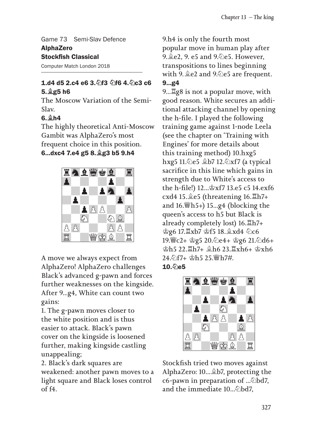Game 73 Semi-Slav Defence AlphaZero Stockfish Classical

Computer Match London 2018

#### 1.d4 d5 2.c4 e6 3. h3 h6 4. hc3 c6 5.♗g5 h6

The Moscow Variation of the Semi-Slav.

### $6.$  $9h4$

The highly theoretical Anti-Moscow Gambit was AlphaZero's most frequent choice in this position.

#### 6...dxc4 7.e4 g5 8.♗g3 b5 9.h4



A move we always expect from AlphaZero! AlphaZero challenges Black's advanced g-pawn and forces further weaknesses on the kingside. After 9...g4, White can count two gains:

1. The g-pawn moves closer to the white position and is thus easier to attack. Black's pawn cover on the kingside is loosened further, making kingside castling unappealing;

2. Black's dark squares are weakened: another pawn moves to a light square and Black loses control of f4.

9.h4 is only the fourth most popular move in human play after 9. **L**e2, 9. e5 and 9. *D*e5. However, transpositions to lines beginning with 9.♗e2 and 9.♘e5 are frequent. 9...g4

9...♖g8 is not a popular move, with good reason. White secures an additional attacking channel by opening the h-file. I played the following training game against 1-node Leela (see the chapter on 'Training with Engines' for more details about this training method) 10.hxg5 hxg5 11.♘e5 ♗b7 12.♘xf7 (a typical sacrifice in this line which gains in strength due to White's access to the h-file!) 12...♔xf7 13.e5 c5 14.exf6 cxd4 15.♗e5 (threatening 16.♖h7+ and  $16.$   $\sharp$ h5+) 15...g4 (blocking the queen's access to h5 but Black is already completely lost) 16.♖h7+ ♔g6 17.♖xb7 ♔f5 18.♗xd4 ♘c6 19.♕c2+ ♔g5 20.♘e4+ ♔g6 21.♘d6+ ♔h5 22.♖h7+ ♗h6 23.♖xh6+ ♔xh6 24.♘f7+ ♔h5 25.♕h7#.  $10.$  $\Diamond$ e5



Stockfish tried two moves against AlphaZero: 10...♗b7, protecting the c6-pawn in preparation of ...♘bd7, and the immediate  $10...\odot$ bd7.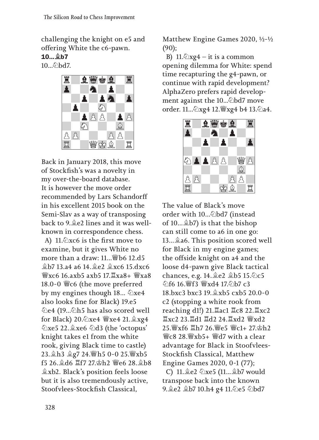challenging the knight on e5 and offering White the c6-pawn. 10...♗b7

10.....bd7.



Back in January 2018, this move of Stockfish's was a novelty in my over-the-board database. It is however the move order recommended by Lars Schandorff in his excellent 2015 book on the Semi-Slav as a way of transposing back to 9.♗e2 lines and it was wellknown in correspondence chess.

A) 11. $\&$ xc6 is the first move to examine, but it gives White no more than a draw: 11...♕b6 12.d5 ♗b7 13.a4 a6 14.♗e2 ♗xc6 15.dxc6 ♕xc6 16.axb5 axb5 17.♖xa8+ ♕xa8 18.0-0 ♕c6 (the move preferred by my engines though 18... ♘xe4 also looks fine for Black) 19.e5 ♘e4 (19...♘h5 has also scored well for Black) 20.♘xe4 ♕xe4 21.♗xg4 ♘xe5 22.♗xe6 ♘d3 (the 'octopus' knight takes e1 from the white rook, giving Black time to castle) 23.♗h3 ♗g7 24.♕h5 0-0 25.♕xb5 f5 26.♗d6 ♖f7 27.♔h2 ♕e6 28.♗b8 ♗xb2. Black's position feels loose but it is also tremendously active, Stoofvlees-Stockfish Classical,

Matthew Engine Games 2020, ½-½ (90);

B)  $11.\&2xg4 - it$  is a common opening dilemma for White: spend time recapturing the g4-pawn, or continue with rapid development? AlphaZero prefers rapid development against the 10...∕ bd7 move order. 11...♘xg4 12.♕xg4 b4 13.♘a4.



The value of Black's move order with 10...♘bd7 (instead of 10...♗b7) is that the bishop can still come to a6 in one go: 13...♗a6. This position scored well for Black in my engine games; the offside knight on a4 and the loose d4-pawn give Black tactical chances, e.g. 14.♗e2 ♗b5 15.♘c5 ♘f6 16.♕f3 ♕xd4 17.♘b7 c3 18.bxc3 bxc3 19.♗xb5 cxb5 20.0-0 c2 (stopping a white rook from reaching d1!) 21.♖ac1 ♖c8 22.♖xc2 ♖xc2 23.♖d1 ♖d2 24.♖xd2 ♕xd2 25.♕xf6 ♖h7 26.♕e5 ♕c1+ 27.♔h2 ♕c8 28.♕xb5+ ♕d7 with a clear advantage for Black in Stoofvlees-Stockfish Classical, Matthew Engine Games 2020, 0-1 (77);

C) 11.♗e2 ♘xe5 (11...♗b7 would transpose back into the known 9. e2 gb7 10.h4 g4 11. 2e5 2bd7